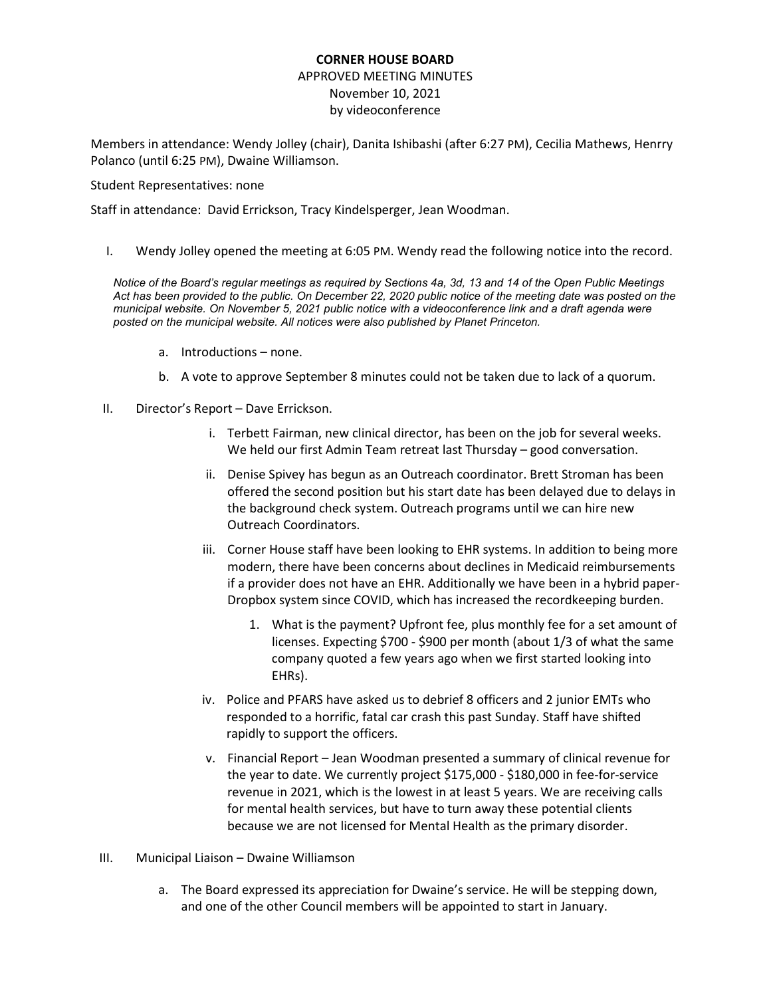## **CORNER HOUSE BOARD**

## APPROVED MEETING MINUTES November 10, 2021 by videoconference

Members in attendance: Wendy Jolley (chair), Danita Ishibashi (after 6:27 PM), Cecilia Mathews, Henrry Polanco (until 6:25 PM), Dwaine Williamson.

#### Student Representatives: none

Staff in attendance: David Errickson, Tracy Kindelsperger, Jean Woodman.

I. Wendy Jolley opened the meeting at 6:05 PM. Wendy read the following notice into the record.

*Notice of the Board's regular meetings as required by Sections 4a, 3d, 13 and 14 of the Open Public Meetings Act has been provided to the public. On December 22, 2020 public notice of the meeting date was posted on the municipal website. On November 5, 2021 public notice with a videoconference link and a draft agenda were posted on the municipal website. All notices were also published by Planet Princeton.*

- a. Introductions none.
- b. A vote to approve September 8 minutes could not be taken due to lack of a quorum.
- II. Director's Report Dave Errickson.
	- i. Terbett Fairman, new clinical director, has been on the job for several weeks. We held our first Admin Team retreat last Thursday – good conversation.
	- ii. Denise Spivey has begun as an Outreach coordinator. Brett Stroman has been offered the second position but his start date has been delayed due to delays in the background check system. Outreach programs until we can hire new Outreach Coordinators.
	- iii. Corner House staff have been looking to EHR systems. In addition to being more modern, there have been concerns about declines in Medicaid reimbursements if a provider does not have an EHR. Additionally we have been in a hybrid paper-Dropbox system since COVID, which has increased the recordkeeping burden.
		- 1. What is the payment? Upfront fee, plus monthly fee for a set amount of licenses. Expecting \$700 - \$900 per month (about 1/3 of what the same company quoted a few years ago when we first started looking into EHRs).
	- iv. Police and PFARS have asked us to debrief 8 officers and 2 junior EMTs who responded to a horrific, fatal car crash this past Sunday. Staff have shifted rapidly to support the officers.
	- v. Financial Report Jean Woodman presented a summary of clinical revenue for the year to date. We currently project \$175,000 - \$180,000 in fee-for-service revenue in 2021, which is the lowest in at least 5 years. We are receiving calls for mental health services, but have to turn away these potential clients because we are not licensed for Mental Health as the primary disorder.
- III. Municipal Liaison Dwaine Williamson
	- a. The Board expressed its appreciation for Dwaine's service. He will be stepping down, and one of the other Council members will be appointed to start in January.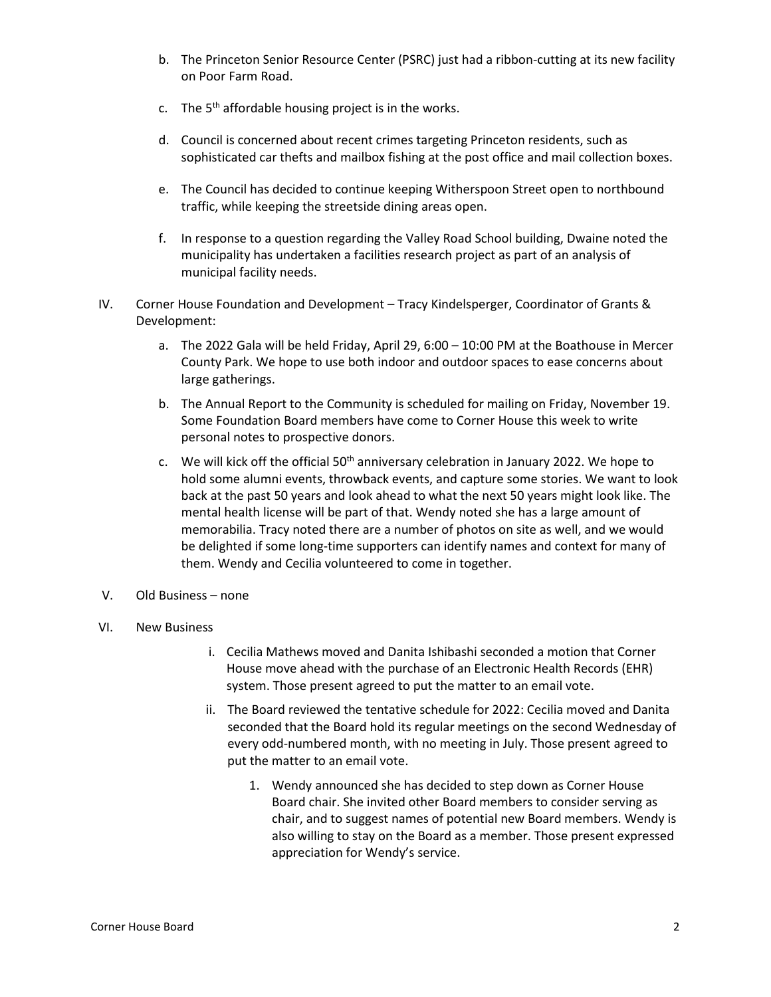- b. The Princeton Senior Resource Center (PSRC) just had a ribbon-cutting at its new facility on Poor Farm Road.
- c. The  $5<sup>th</sup>$  affordable housing project is in the works.
- d. Council is concerned about recent crimes targeting Princeton residents, such as sophisticated car thefts and mailbox fishing at the post office and mail collection boxes.
- e. The Council has decided to continue keeping Witherspoon Street open to northbound traffic, while keeping the streetside dining areas open.
- f. In response to a question regarding the Valley Road School building, Dwaine noted the municipality has undertaken a facilities research project as part of an analysis of municipal facility needs.
- IV. Corner House Foundation and Development Tracy Kindelsperger, Coordinator of Grants & Development:
	- a. The 2022 Gala will be held Friday, April 29, 6:00 10:00 PM at the Boathouse in Mercer County Park. We hope to use both indoor and outdoor spaces to ease concerns about large gatherings.
	- b. The Annual Report to the Community is scheduled for mailing on Friday, November 19. Some Foundation Board members have come to Corner House this week to write personal notes to prospective donors.
	- c. We will kick off the official  $50<sup>th</sup>$  anniversary celebration in January 2022. We hope to hold some alumni events, throwback events, and capture some stories. We want to look back at the past 50 years and look ahead to what the next 50 years might look like. The mental health license will be part of that. Wendy noted she has a large amount of memorabilia. Tracy noted there are a number of photos on site as well, and we would be delighted if some long-time supporters can identify names and context for many of them. Wendy and Cecilia volunteered to come in together.
- V. Old Business none
- VI. New Business
	- i. Cecilia Mathews moved and Danita Ishibashi seconded a motion that Corner House move ahead with the purchase of an Electronic Health Records (EHR) system. Those present agreed to put the matter to an email vote.
	- ii. The Board reviewed the tentative schedule for 2022: Cecilia moved and Danita seconded that the Board hold its regular meetings on the second Wednesday of every odd-numbered month, with no meeting in July. Those present agreed to put the matter to an email vote.
		- 1. Wendy announced she has decided to step down as Corner House Board chair. She invited other Board members to consider serving as chair, and to suggest names of potential new Board members. Wendy is also willing to stay on the Board as a member. Those present expressed appreciation for Wendy's service.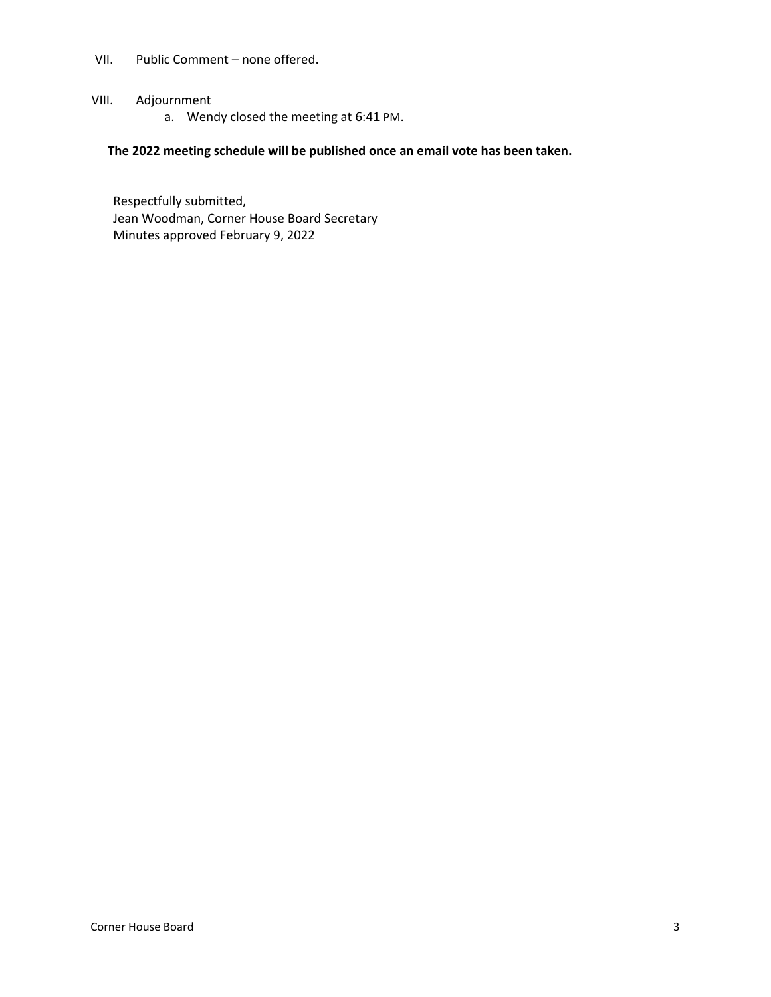- VII. Public Comment none offered.
- VIII. Adjournment
	- a. Wendy closed the meeting at 6:41 PM.

## **The 2022 meeting schedule will be published once an email vote has been taken.**

Respectfully submitted, Jean Woodman, Corner House Board Secretary Minutes approved February 9, 2022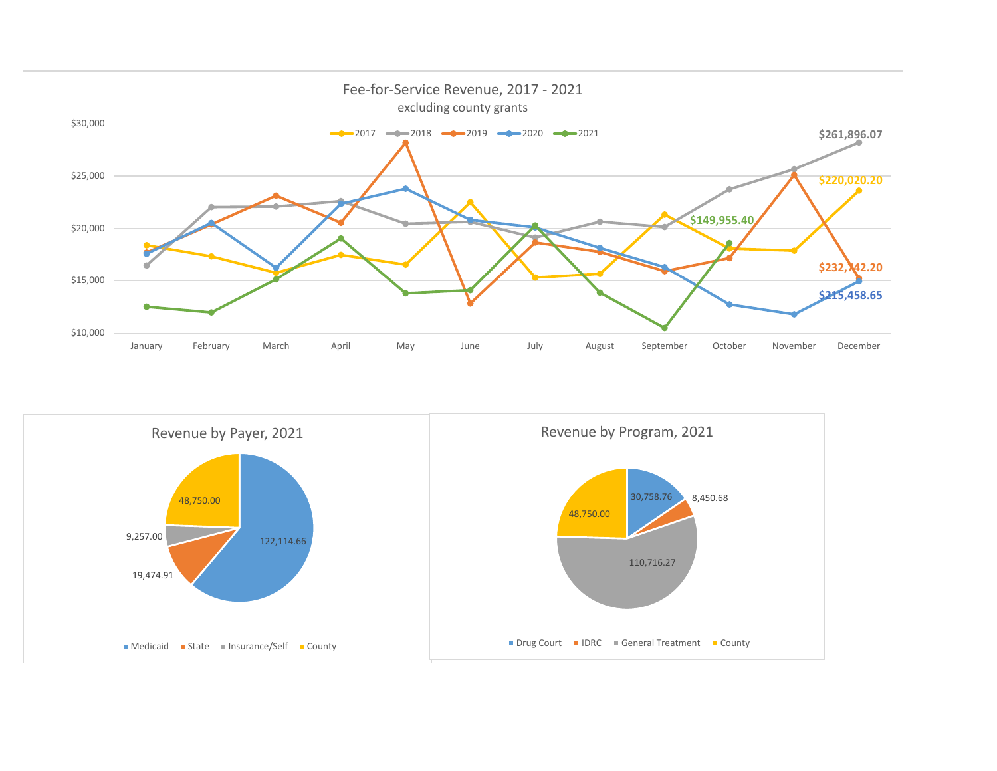

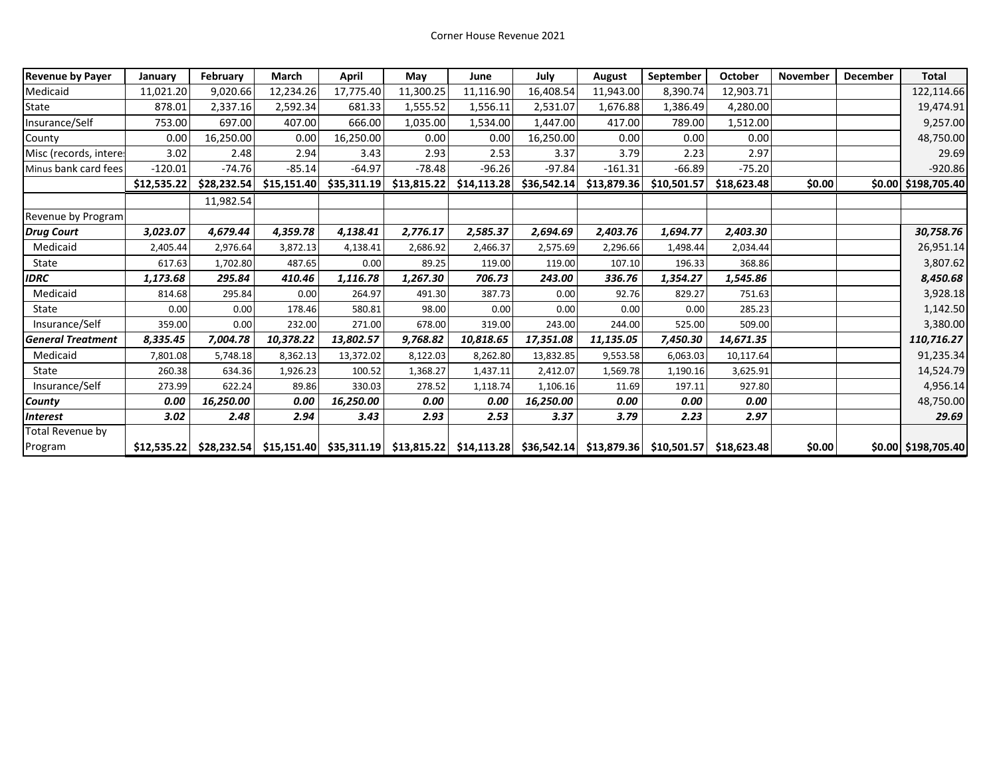| <b>Revenue by Payer</b>  | January     | February    | <b>March</b> | April       | May                                                                                             | June        | July        | August      | September   | October     | November | December | <b>Total</b>        |
|--------------------------|-------------|-------------|--------------|-------------|-------------------------------------------------------------------------------------------------|-------------|-------------|-------------|-------------|-------------|----------|----------|---------------------|
| Medicaid                 | 11,021.20   | 9,020.66    | 12,234.26    | 17,775.40   | 11,300.25                                                                                       | 11,116.90   | 16,408.54   | 11,943.00   | 8,390.74    | 12,903.71   |          |          | 122,114.66          |
| State                    | 878.01      | 2,337.16    | 2,592.34     | 681.33      | 1,555.52                                                                                        | 1,556.11    | 2,531.07    | 1,676.88    | 1,386.49    | 4,280.00    |          |          | 19,474.91           |
| Insurance/Self           | 753.00      | 697.00      | 407.00       | 666.00      | 1,035.00                                                                                        | 1,534.00    | 1,447.00    | 417.00      | 789.00      | 1,512.00    |          |          | 9,257.00            |
| County                   | 0.00        | 16,250.00   | 0.00         | 16,250.00   | 0.00                                                                                            | 0.00        | 16,250.00   | 0.00        | 0.00        | 0.00        |          |          | 48,750.00           |
| Misc (records, intere:   | 3.02        | 2.48        | 2.94         | 3.43        | 2.93                                                                                            | 2.53        | 3.37        | 3.79        | 2.23        | 2.97        |          |          | 29.69               |
| Minus bank card fees     | $-120.01$   | $-74.76$    | $-85.14$     | $-64.97$    | $-78.48$                                                                                        | $-96.26$    | $-97.84$    | $-161.31$   | $-66.89$    | $-75.20$    |          |          | $-920.86$           |
|                          | \$12,535.22 | \$28,232.54 | \$15,151.40  | \$35,311.19 | \$13,815.22                                                                                     | \$14,113.28 | \$36,542.14 | \$13,879.36 | \$10,501.57 | \$18,623.48 | \$0.00   |          | \$0.00 \$198,705.40 |
|                          |             | 11,982.54   |              |             |                                                                                                 |             |             |             |             |             |          |          |                     |
| Revenue by Program       |             |             |              |             |                                                                                                 |             |             |             |             |             |          |          |                     |
| <b>Drug Court</b>        | 3,023.07    | 4,679.44    | 4,359.78     | 4,138.41    | 2,776.17                                                                                        | 2,585.37    | 2,694.69    | 2,403.76    | 1,694.77    | 2,403.30    |          |          | 30,758.76           |
| Medicaid                 | 2,405.44    | 2,976.64    | 3,872.13     | 4,138.41    | 2,686.92                                                                                        | 2,466.37    | 2,575.69    | 2,296.66    | 1,498.44    | 2,034.44    |          |          | 26,951.14           |
| State                    | 617.63      | 1,702.80    | 487.65       | 0.00        | 89.25                                                                                           | 119.00      | 119.00      | 107.10      | 196.33      | 368.86      |          |          | 3,807.62            |
| <b>IDRC</b>              | 1,173.68    | 295.84      | 410.46       | 1,116.78    | 1,267.30                                                                                        | 706.73      | 243.00      | 336.76      | 1,354.27    | 1,545.86    |          |          | 8,450.68            |
| Medicaid                 | 814.68      | 295.84      | 0.00         | 264.97      | 491.30                                                                                          | 387.73      | 0.00        | 92.76       | 829.27      | 751.63      |          |          | 3,928.18            |
| State                    | 0.00        | 0.00        | 178.46       | 580.81      | 98.00                                                                                           | 0.00        | 0.00        | 0.00        | 0.00        | 285.23      |          |          | 1,142.50            |
| Insurance/Self           | 359.00      | 0.00        | 232.00       | 271.00      | 678.00                                                                                          | 319.00      | 243.00      | 244.00      | 525.00      | 509.00      |          |          | 3,380.00            |
| <b>General Treatment</b> | 8,335.45    | 7,004.78    | 10,378.22    | 13,802.57   | 9,768.82                                                                                        | 10,818.65   | 17,351.08   | 11,135.05   | 7,450.30    | 14,671.35   |          |          | 110,716.27          |
| Medicaid                 | 7,801.08    | 5,748.18    | 8,362.13     | 13,372.02   | 8,122.03                                                                                        | 8,262.80    | 13,832.85   | 9,553.58    | 6,063.03    | 10,117.64   |          |          | 91,235.34           |
| State                    | 260.38      | 634.36      | 1,926.23     | 100.52      | 1,368.27                                                                                        | 1,437.11    | 2,412.07    | 1,569.78    | 1,190.16    | 3,625.91    |          |          | 14,524.79           |
| Insurance/Self           | 273.99      | 622.24      | 89.86        | 330.03      | 278.52                                                                                          | 1,118.74    | 1,106.16    | 11.69       | 197.11      | 927.80      |          |          | 4,956.14            |
| County                   | 0.00        | 16,250.00   | 0.00         | 16,250.00   | 0.00                                                                                            | 0.00        | 16,250.00   | 0.00        | 0.00        | 0.00        |          |          | 48,750.00           |
| <b>Interest</b>          | 3.02        | 2.48        | 2.94         | 3.43        | 2.93                                                                                            | 2.53        | 3.37        | 3.79        | 2.23        | 2.97        |          |          | 29.69               |
| Total Revenue by         |             |             |              |             |                                                                                                 |             |             |             |             |             |          |          |                     |
| Program                  | \$12,535.22 |             |              |             | \$28,232.54 \$15,151.40 \$35,311.19 \$13,815.22 \$14,113.28 \$36,542.14 \$13,879.36 \$10,501.57 |             |             |             |             | \$18,623.48 | \$0.00   |          | \$0.00 \$198,705.40 |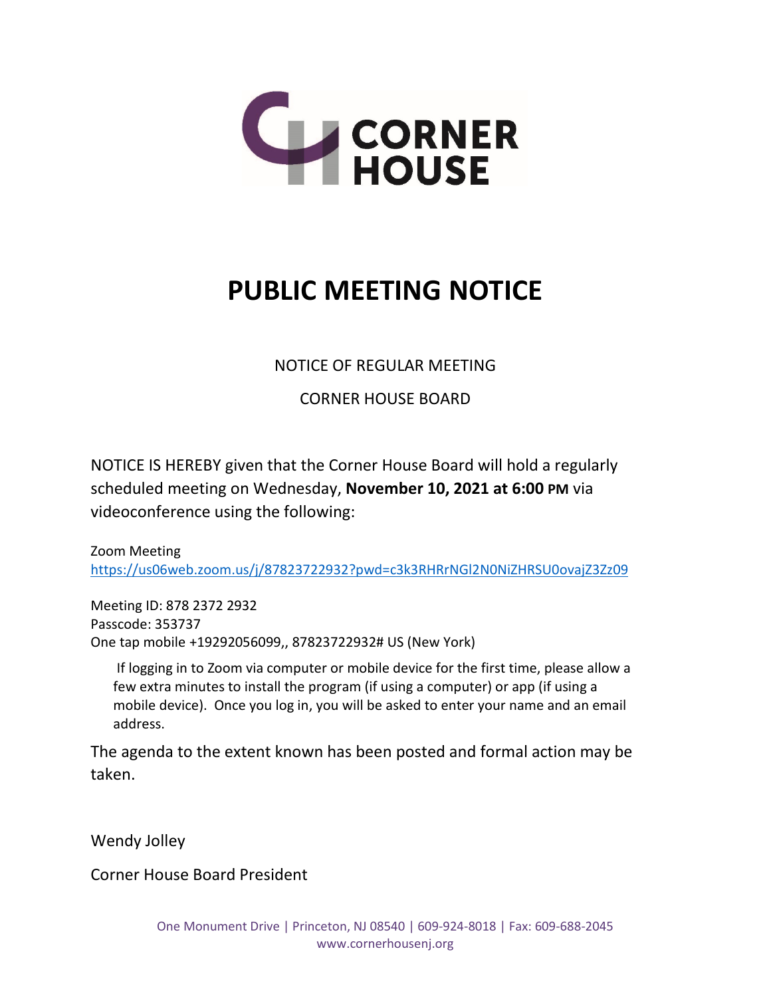

# **PUBLIC MEETING NOTICE**

NOTICE OF REGULAR MEETING

CORNER HOUSE BOARD

NOTICE IS HEREBY given that the Corner House Board will hold a regularly scheduled meeting on Wednesday, **November 10, 2021 at 6:00 PM** via videoconference using the following:

Zoom Meeting <https://us06web.zoom.us/j/87823722932?pwd=c3k3RHRrNGl2N0NiZHRSU0ovajZ3Zz09>

Meeting ID: 878 2372 2932 Passcode: 353737 One tap mobile +19292056099,, 87823722932# US (New York)

If logging in to Zoom via computer or mobile device for the first time, please allow a few extra minutes to install the program (if using a computer) or app (if using a mobile device). Once you log in, you will be asked to enter your name and an email address.

The agenda to the extent known has been posted and formal action may be taken.

Wendy Jolley

Corner House Board President